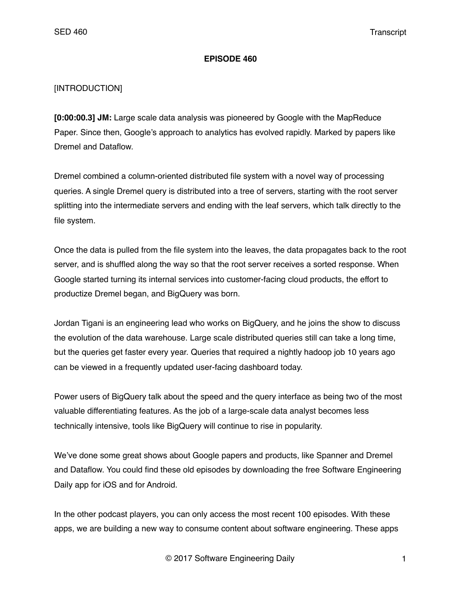#### **EPISODE 460**

### [INTRODUCTION]

**[0:00:00.3] JM:** Large scale data analysis was pioneered by Google with the MapReduce Paper. Since then, Google's approach to analytics has evolved rapidly. Marked by papers like Dremel and Dataflow.

Dremel combined a column-oriented distributed file system with a novel way of processing queries. A single Dremel query is distributed into a tree of servers, starting with the root server splitting into the intermediate servers and ending with the leaf servers, which talk directly to the file system.

Once the data is pulled from the file system into the leaves, the data propagates back to the root server, and is shuffled along the way so that the root server receives a sorted response. When Google started turning its internal services into customer-facing cloud products, the effort to productize Dremel began, and BigQuery was born.

Jordan Tigani is an engineering lead who works on BigQuery, and he joins the show to discuss the evolution of the data warehouse. Large scale distributed queries still can take a long time, but the queries get faster every year. Queries that required a nightly hadoop job 10 years ago can be viewed in a frequently updated user-facing dashboard today.

Power users of BigQuery talk about the speed and the query interface as being two of the most valuable differentiating features. As the job of a large-scale data analyst becomes less technically intensive, tools like BigQuery will continue to rise in popularity.

We've done some great shows about Google papers and products, like Spanner and Dremel and Dataflow. You could find these old episodes by downloading the free Software Engineering Daily app for iOS and for Android.

In the other podcast players, you can only access the most recent 100 episodes. With these apps, we are building a new way to consume content about software engineering. These apps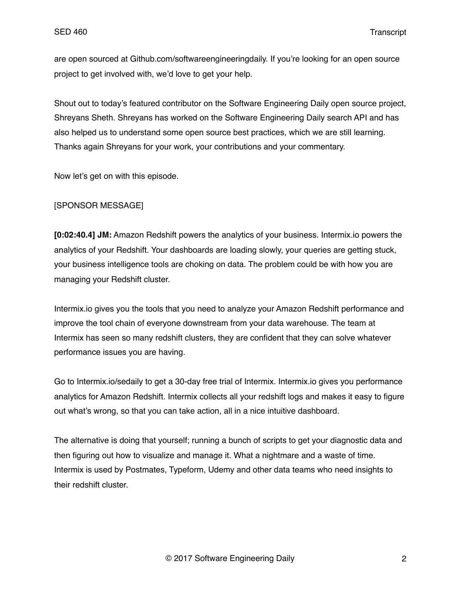are open sourced at Github.com/softwareengineeringdaily. If you're looking for an open source project to get involved with, we'd love to get your help.

Shout out to today's featured contributor on the Software Engineering Daily open source project, Shreyans Sheth. Shreyans has worked on the Software Engineering Daily search API and has also helped us to understand some open source best practices, which we are still learning. Thanks again Shreyans for your work, your contributions and your commentary.

Now let's get on with this episode.

### [SPONSOR MESSAGE]

**[0:02:40.4] JM:** Amazon Redshift powers the analytics of your business. Intermix.io powers the analytics of your Redshift. Your dashboards are loading slowly, your queries are getting stuck, your business intelligence tools are choking on data. The problem could be with how you are managing your Redshift cluster.

Intermix.io gives you the tools that you need to analyze your Amazon Redshift performance and improve the tool chain of everyone downstream from your data warehouse. The team at Intermix has seen so many redshift clusters, they are confident that they can solve whatever performance issues you are having.

Go to Intermix.io/sedaily to get a 30-day free trial of Intermix. Intermix.io gives you performance analytics for Amazon Redshift. Intermix collects all your redshift logs and makes it easy to figure out what's wrong, so that you can take action, all in a nice intuitive dashboard.

The alternative is doing that yourself; running a bunch of scripts to get your diagnostic data and then figuring out how to visualize and manage it. What a nightmare and a waste of time. Intermix is used by Postmates, Typeform, Udemy and other data teams who need insights to their redshift cluster.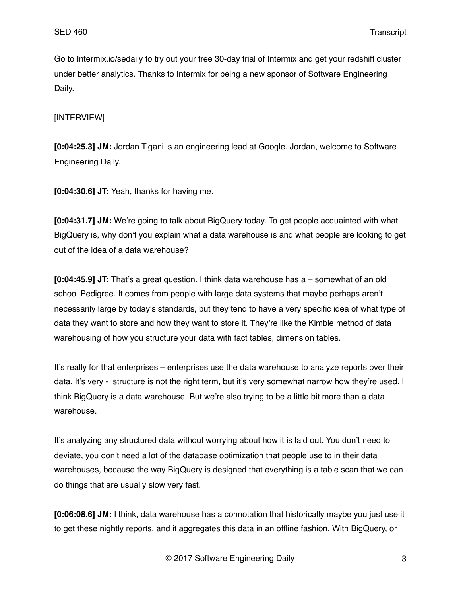Go to Intermix.io/sedaily to try out your free 30-day trial of Intermix and get your redshift cluster under better analytics. Thanks to Intermix for being a new sponsor of Software Engineering Daily.

## [INTERVIEW]

**[0:04:25.3] JM:** Jordan Tigani is an engineering lead at Google. Jordan, welcome to Software Engineering Daily.

**[0:04:30.6] JT:** Yeah, thanks for having me.

**[0:04:31.7] JM:** We're going to talk about BigQuery today. To get people acquainted with what BigQuery is, why don't you explain what a data warehouse is and what people are looking to get out of the idea of a data warehouse?

**[0:04:45.9] JT:** That's a great question. I think data warehouse has a – somewhat of an old school Pedigree. It comes from people with large data systems that maybe perhaps aren't necessarily large by today's standards, but they tend to have a very specific idea of what type of data they want to store and how they want to store it. They're like the Kimble method of data warehousing of how you structure your data with fact tables, dimension tables.

It's really for that enterprises – enterprises use the data warehouse to analyze reports over their data. It's very - structure is not the right term, but it's very somewhat narrow how they're used. I think BigQuery is a data warehouse. But we're also trying to be a little bit more than a data warehouse.

It's analyzing any structured data without worrying about how it is laid out. You don't need to deviate, you don't need a lot of the database optimization that people use to in their data warehouses, because the way BigQuery is designed that everything is a table scan that we can do things that are usually slow very fast.

**[0:06:08.6] JM:** I think, data warehouse has a connotation that historically maybe you just use it to get these nightly reports, and it aggregates this data in an offline fashion. With BigQuery, or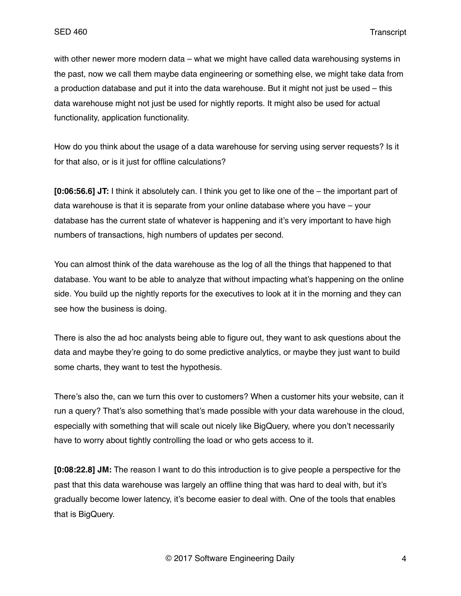with other newer more modern data – what we might have called data warehousing systems in the past, now we call them maybe data engineering or something else, we might take data from a production database and put it into the data warehouse. But it might not just be used – this data warehouse might not just be used for nightly reports. It might also be used for actual functionality, application functionality.

How do you think about the usage of a data warehouse for serving using server requests? Is it for that also, or is it just for offline calculations?

**[0:06:56.6] JT:** I think it absolutely can. I think you get to like one of the – the important part of data warehouse is that it is separate from your online database where you have – your database has the current state of whatever is happening and it's very important to have high numbers of transactions, high numbers of updates per second.

You can almost think of the data warehouse as the log of all the things that happened to that database. You want to be able to analyze that without impacting what's happening on the online side. You build up the nightly reports for the executives to look at it in the morning and they can see how the business is doing.

There is also the ad hoc analysts being able to figure out, they want to ask questions about the data and maybe they're going to do some predictive analytics, or maybe they just want to build some charts, they want to test the hypothesis.

There's also the, can we turn this over to customers? When a customer hits your website, can it run a query? That's also something that's made possible with your data warehouse in the cloud, especially with something that will scale out nicely like BigQuery, where you don't necessarily have to worry about tightly controlling the load or who gets access to it.

**[0:08:22.8] JM:** The reason I want to do this introduction is to give people a perspective for the past that this data warehouse was largely an offline thing that was hard to deal with, but it's gradually become lower latency, it's become easier to deal with. One of the tools that enables that is BigQuery.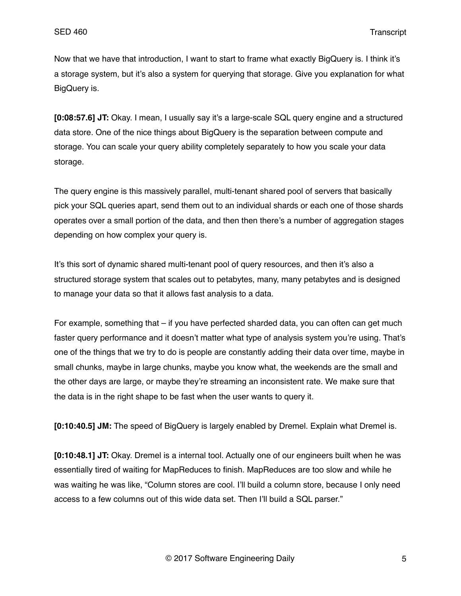Now that we have that introduction, I want to start to frame what exactly BigQuery is. I think it's a storage system, but it's also a system for querying that storage. Give you explanation for what BigQuery is.

**[0:08:57.6] JT:** Okay. I mean, I usually say it's a large-scale SQL query engine and a structured data store. One of the nice things about BigQuery is the separation between compute and storage. You can scale your query ability completely separately to how you scale your data storage.

The query engine is this massively parallel, multi-tenant shared pool of servers that basically pick your SQL queries apart, send them out to an individual shards or each one of those shards operates over a small portion of the data, and then then there's a number of aggregation stages depending on how complex your query is.

It's this sort of dynamic shared multi-tenant pool of query resources, and then it's also a structured storage system that scales out to petabytes, many, many petabytes and is designed to manage your data so that it allows fast analysis to a data.

For example, something that – if you have perfected sharded data, you can often can get much faster query performance and it doesn't matter what type of analysis system you're using. That's one of the things that we try to do is people are constantly adding their data over time, maybe in small chunks, maybe in large chunks, maybe you know what, the weekends are the small and the other days are large, or maybe they're streaming an inconsistent rate. We make sure that the data is in the right shape to be fast when the user wants to query it.

**[0:10:40.5] JM:** The speed of BigQuery is largely enabled by Dremel. Explain what Dremel is.

**[0:10:48.1] JT:** Okay. Dremel is a internal tool. Actually one of our engineers built when he was essentially tired of waiting for MapReduces to finish. MapReduces are too slow and while he was waiting he was like, "Column stores are cool. I'll build a column store, because I only need access to a few columns out of this wide data set. Then I'll build a SQL parser."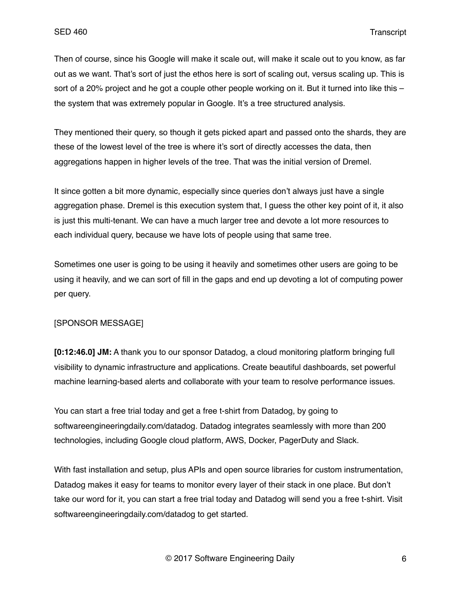Then of course, since his Google will make it scale out, will make it scale out to you know, as far out as we want. That's sort of just the ethos here is sort of scaling out, versus scaling up. This is sort of a 20% project and he got a couple other people working on it. But it turned into like this – the system that was extremely popular in Google. It's a tree structured analysis.

They mentioned their query, so though it gets picked apart and passed onto the shards, they are these of the lowest level of the tree is where it's sort of directly accesses the data, then aggregations happen in higher levels of the tree. That was the initial version of Dremel.

It since gotten a bit more dynamic, especially since queries don't always just have a single aggregation phase. Dremel is this execution system that, I guess the other key point of it, it also is just this multi-tenant. We can have a much larger tree and devote a lot more resources to each individual query, because we have lots of people using that same tree.

Sometimes one user is going to be using it heavily and sometimes other users are going to be using it heavily, and we can sort of fill in the gaps and end up devoting a lot of computing power per query.

### [SPONSOR MESSAGE]

**[0:12:46.0] JM:** A thank you to our sponsor Datadog, a cloud monitoring platform bringing full visibility to dynamic infrastructure and applications. Create beautiful dashboards, set powerful machine learning-based alerts and collaborate with your team to resolve performance issues.

You can start a free trial today and get a free t-shirt from Datadog, by going to softwareengineeringdaily.com/datadog. Datadog integrates seamlessly with more than 200 technologies, including Google cloud platform, AWS, Docker, PagerDuty and Slack.

With fast installation and setup, plus APIs and open source libraries for custom instrumentation, Datadog makes it easy for teams to monitor every layer of their stack in one place. But don't take our word for it, you can start a free trial today and Datadog will send you a free t-shirt. Visit softwareengineeringdaily.com/datadog to get started.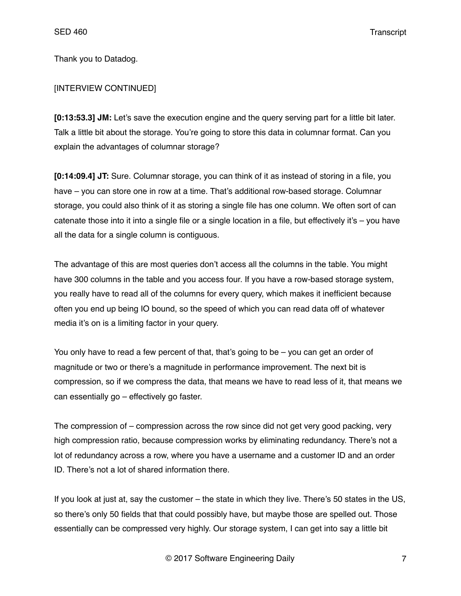Thank you to Datadog.

## [INTERVIEW CONTINUED]

**[0:13:53.3] JM:** Let's save the execution engine and the query serving part for a little bit later. Talk a little bit about the storage. You're going to store this data in columnar format. Can you explain the advantages of columnar storage?

**[0:14:09.4] JT:** Sure. Columnar storage, you can think of it as instead of storing in a file, you have – you can store one in row at a time. That's additional row-based storage. Columnar storage, you could also think of it as storing a single file has one column. We often sort of can catenate those into it into a single file or a single location in a file, but effectively it's – you have all the data for a single column is contiguous.

The advantage of this are most queries don't access all the columns in the table. You might have 300 columns in the table and you access four. If you have a row-based storage system, you really have to read all of the columns for every query, which makes it inefficient because often you end up being IO bound, so the speed of which you can read data off of whatever media it's on is a limiting factor in your query.

You only have to read a few percent of that, that's going to be – you can get an order of magnitude or two or there's a magnitude in performance improvement. The next bit is compression, so if we compress the data, that means we have to read less of it, that means we can essentially go – effectively go faster.

The compression of – compression across the row since did not get very good packing, very high compression ratio, because compression works by eliminating redundancy. There's not a lot of redundancy across a row, where you have a username and a customer ID and an order ID. There's not a lot of shared information there.

If you look at just at, say the customer – the state in which they live. There's 50 states in the US, so there's only 50 fields that that could possibly have, but maybe those are spelled out. Those essentially can be compressed very highly. Our storage system, I can get into say a little bit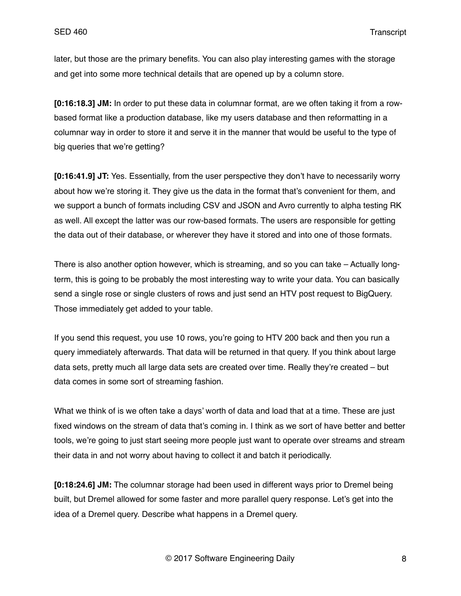later, but those are the primary benefits. You can also play interesting games with the storage and get into some more technical details that are opened up by a column store.

**[0:16:18.3] JM:** In order to put these data in columnar format, are we often taking it from a rowbased format like a production database, like my users database and then reformatting in a columnar way in order to store it and serve it in the manner that would be useful to the type of big queries that we're getting?

**[0:16:41.9] JT:** Yes. Essentially, from the user perspective they don't have to necessarily worry about how we're storing it. They give us the data in the format that's convenient for them, and we support a bunch of formats including CSV and JSON and Avro currently to alpha testing RK as well. All except the latter was our row-based formats. The users are responsible for getting the data out of their database, or wherever they have it stored and into one of those formats.

There is also another option however, which is streaming, and so you can take – Actually longterm, this is going to be probably the most interesting way to write your data. You can basically send a single rose or single clusters of rows and just send an HTV post request to BigQuery. Those immediately get added to your table.

If you send this request, you use 10 rows, you're going to HTV 200 back and then you run a query immediately afterwards. That data will be returned in that query. If you think about large data sets, pretty much all large data sets are created over time. Really they're created – but data comes in some sort of streaming fashion.

What we think of is we often take a days' worth of data and load that at a time. These are just fixed windows on the stream of data that's coming in. I think as we sort of have better and better tools, we're going to just start seeing more people just want to operate over streams and stream their data in and not worry about having to collect it and batch it periodically.

**[0:18:24.6] JM:** The columnar storage had been used in different ways prior to Dremel being built, but Dremel allowed for some faster and more parallel query response. Let's get into the idea of a Dremel query. Describe what happens in a Dremel query.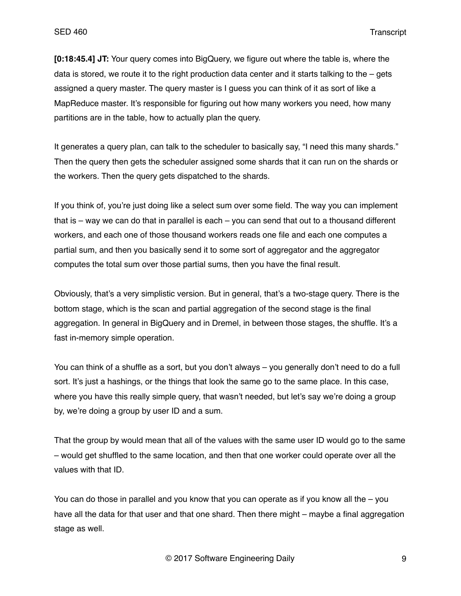**[0:18:45.4] JT:** Your query comes into BigQuery, we figure out where the table is, where the data is stored, we route it to the right production data center and it starts talking to the  $-$  gets assigned a query master. The query master is I guess you can think of it as sort of like a MapReduce master. It's responsible for figuring out how many workers you need, how many partitions are in the table, how to actually plan the query.

It generates a query plan, can talk to the scheduler to basically say, "I need this many shards." Then the query then gets the scheduler assigned some shards that it can run on the shards or the workers. Then the query gets dispatched to the shards.

If you think of, you're just doing like a select sum over some field. The way you can implement that is – way we can do that in parallel is each – you can send that out to a thousand different workers, and each one of those thousand workers reads one file and each one computes a partial sum, and then you basically send it to some sort of aggregator and the aggregator computes the total sum over those partial sums, then you have the final result.

Obviously, that's a very simplistic version. But in general, that's a two-stage query. There is the bottom stage, which is the scan and partial aggregation of the second stage is the final aggregation. In general in BigQuery and in Dremel, in between those stages, the shuffle. It's a fast in-memory simple operation.

You can think of a shuffle as a sort, but you don't always – you generally don't need to do a full sort. It's just a hashings, or the things that look the same go to the same place. In this case, where you have this really simple query, that wasn't needed, but let's say we're doing a group by, we're doing a group by user ID and a sum.

That the group by would mean that all of the values with the same user ID would go to the same – would get shuffled to the same location, and then that one worker could operate over all the values with that ID.

You can do those in parallel and you know that you can operate as if you know all the – you have all the data for that user and that one shard. Then there might – maybe a final aggregation stage as well.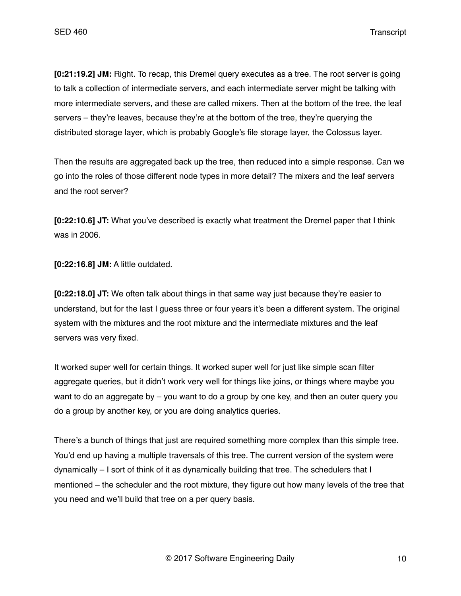SED 460 Transcript

**[0:21:19.2] JM:** Right. To recap, this Dremel query executes as a tree. The root server is going to talk a collection of intermediate servers, and each intermediate server might be talking with more intermediate servers, and these are called mixers. Then at the bottom of the tree, the leaf servers – they're leaves, because they're at the bottom of the tree, they're querying the distributed storage layer, which is probably Google's file storage layer, the Colossus layer.

Then the results are aggregated back up the tree, then reduced into a simple response. Can we go into the roles of those different node types in more detail? The mixers and the leaf servers and the root server?

**[0:22:10.6] JT:** What you've described is exactly what treatment the Dremel paper that I think was in 2006.

**[0:22:16.8] JM:** A little outdated.

**[0:22:18.0] JT:** We often talk about things in that same way just because they're easier to understand, but for the last I guess three or four years it's been a different system. The original system with the mixtures and the root mixture and the intermediate mixtures and the leaf servers was very fixed.

It worked super well for certain things. It worked super well for just like simple scan filter aggregate queries, but it didn't work very well for things like joins, or things where maybe you want to do an aggregate by – you want to do a group by one key, and then an outer query you do a group by another key, or you are doing analytics queries.

There's a bunch of things that just are required something more complex than this simple tree. You'd end up having a multiple traversals of this tree. The current version of the system were dynamically – I sort of think of it as dynamically building that tree. The schedulers that I mentioned – the scheduler and the root mixture, they figure out how many levels of the tree that you need and we'll build that tree on a per query basis.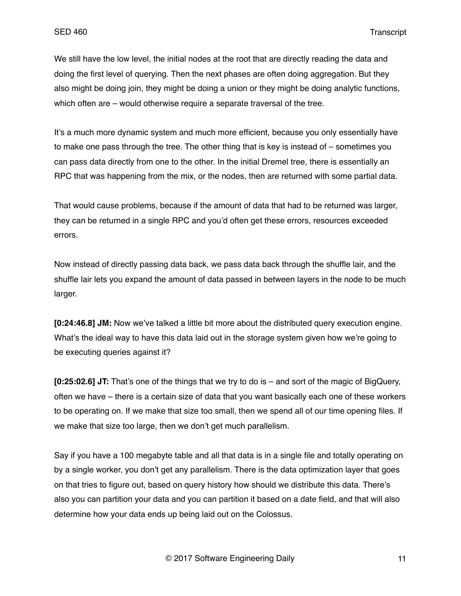We still have the low level, the initial nodes at the root that are directly reading the data and doing the first level of querying. Then the next phases are often doing aggregation. But they also might be doing join, they might be doing a union or they might be doing analytic functions, which often are – would otherwise require a separate traversal of the tree.

It's a much more dynamic system and much more efficient, because you only essentially have to make one pass through the tree. The other thing that is key is instead of – sometimes you can pass data directly from one to the other. In the initial Dremel tree, there is essentially an RPC that was happening from the mix, or the nodes, then are returned with some partial data.

That would cause problems, because if the amount of data that had to be returned was larger, they can be returned in a single RPC and you'd often get these errors, resources exceeded errors.

Now instead of directly passing data back, we pass data back through the shuffle lair, and the shuffle lair lets you expand the amount of data passed in between layers in the node to be much larger.

**[0:24:46.8] JM:** Now we've talked a little bit more about the distributed query execution engine. What's the ideal way to have this data laid out in the storage system given how we're going to be executing queries against it?

**[0:25:02.6] JT:** That's one of the things that we try to do is – and sort of the magic of BigQuery, often we have – there is a certain size of data that you want basically each one of these workers to be operating on. If we make that size too small, then we spend all of our time opening files. If we make that size too large, then we don't get much parallelism.

Say if you have a 100 megabyte table and all that data is in a single file and totally operating on by a single worker, you don't get any parallelism. There is the data optimization layer that goes on that tries to figure out, based on query history how should we distribute this data. There's also you can partition your data and you can partition it based on a date field, and that will also determine how your data ends up being laid out on the Colossus.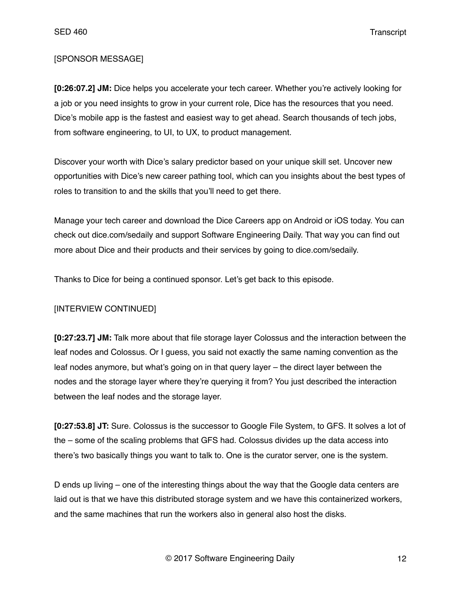SED 460 Transcript

### [SPONSOR MESSAGE]

**[0:26:07.2] JM:** Dice helps you accelerate your tech career. Whether you're actively looking for a job or you need insights to grow in your current role, Dice has the resources that you need. Dice's mobile app is the fastest and easiest way to get ahead. Search thousands of tech jobs, from software engineering, to UI, to UX, to product management.

Discover your worth with Dice's salary predictor based on your unique skill set. Uncover new opportunities with Dice's new career pathing tool, which can you insights about the best types of roles to transition to and the skills that you'll need to get there.

Manage your tech career and download the Dice Careers app on Android or iOS today. You can check out dice.com/sedaily and support Software Engineering Daily. That way you can find out more about Dice and their products and their services by going to dice.com/sedaily.

Thanks to Dice for being a continued sponsor. Let's get back to this episode.

## [INTERVIEW CONTINUED]

**[0:27:23.7] JM:** Talk more about that file storage layer Colossus and the interaction between the leaf nodes and Colossus. Or I guess, you said not exactly the same naming convention as the leaf nodes anymore, but what's going on in that query layer – the direct layer between the nodes and the storage layer where they're querying it from? You just described the interaction between the leaf nodes and the storage layer.

**[0:27:53.8] JT:** Sure. Colossus is the successor to Google File System, to GFS. It solves a lot of the – some of the scaling problems that GFS had. Colossus divides up the data access into there's two basically things you want to talk to. One is the curator server, one is the system.

D ends up living – one of the interesting things about the way that the Google data centers are laid out is that we have this distributed storage system and we have this containerized workers, and the same machines that run the workers also in general also host the disks.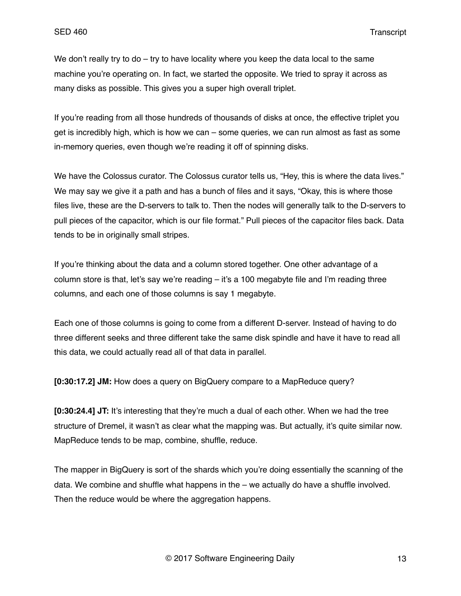We don't really try to do – try to have locality where you keep the data local to the same machine you're operating on. In fact, we started the opposite. We tried to spray it across as many disks as possible. This gives you a super high overall triplet.

If you're reading from all those hundreds of thousands of disks at once, the effective triplet you get is incredibly high, which is how we can – some queries, we can run almost as fast as some in-memory queries, even though we're reading it off of spinning disks.

We have the Colossus curator. The Colossus curator tells us, "Hey, this is where the data lives." We may say we give it a path and has a bunch of files and it says, "Okay, this is where those files live, these are the D-servers to talk to. Then the nodes will generally talk to the D-servers to pull pieces of the capacitor, which is our file format." Pull pieces of the capacitor files back. Data tends to be in originally small stripes.

If you're thinking about the data and a column stored together. One other advantage of a column store is that, let's say we're reading – it's a 100 megabyte file and I'm reading three columns, and each one of those columns is say 1 megabyte.

Each one of those columns is going to come from a different D-server. Instead of having to do three different seeks and three different take the same disk spindle and have it have to read all this data, we could actually read all of that data in parallel.

**[0:30:17.2] JM:** How does a query on BigQuery compare to a MapReduce query?

**[0:30:24.4] JT:** It's interesting that they're much a dual of each other. When we had the tree structure of Dremel, it wasn't as clear what the mapping was. But actually, it's quite similar now. MapReduce tends to be map, combine, shuffle, reduce.

The mapper in BigQuery is sort of the shards which you're doing essentially the scanning of the data. We combine and shuffle what happens in the – we actually do have a shuffle involved. Then the reduce would be where the aggregation happens.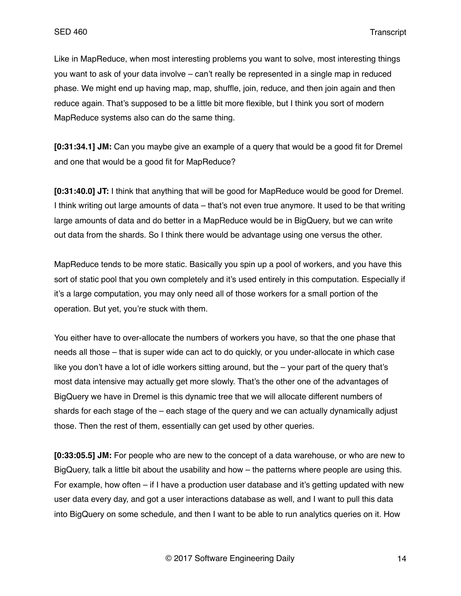Like in MapReduce, when most interesting problems you want to solve, most interesting things you want to ask of your data involve – can't really be represented in a single map in reduced phase. We might end up having map, map, shuffle, join, reduce, and then join again and then reduce again. That's supposed to be a little bit more flexible, but I think you sort of modern MapReduce systems also can do the same thing.

**[0:31:34.1] JM:** Can you maybe give an example of a query that would be a good fit for Dremel and one that would be a good fit for MapReduce?

**[0:31:40.0] JT:** I think that anything that will be good for MapReduce would be good for Dremel. I think writing out large amounts of data – that's not even true anymore. It used to be that writing large amounts of data and do better in a MapReduce would be in BigQuery, but we can write out data from the shards. So I think there would be advantage using one versus the other.

MapReduce tends to be more static. Basically you spin up a pool of workers, and you have this sort of static pool that you own completely and it's used entirely in this computation. Especially if it's a large computation, you may only need all of those workers for a small portion of the operation. But yet, you're stuck with them.

You either have to over-allocate the numbers of workers you have, so that the one phase that needs all those – that is super wide can act to do quickly, or you under-allocate in which case like you don't have a lot of idle workers sitting around, but the – your part of the query that's most data intensive may actually get more slowly. That's the other one of the advantages of BigQuery we have in Dremel is this dynamic tree that we will allocate different numbers of shards for each stage of the – each stage of the query and we can actually dynamically adjust those. Then the rest of them, essentially can get used by other queries.

**[0:33:05.5] JM:** For people who are new to the concept of a data warehouse, or who are new to BigQuery, talk a little bit about the usability and how – the patterns where people are using this. For example, how often – if I have a production user database and it's getting updated with new user data every day, and got a user interactions database as well, and I want to pull this data into BigQuery on some schedule, and then I want to be able to run analytics queries on it. How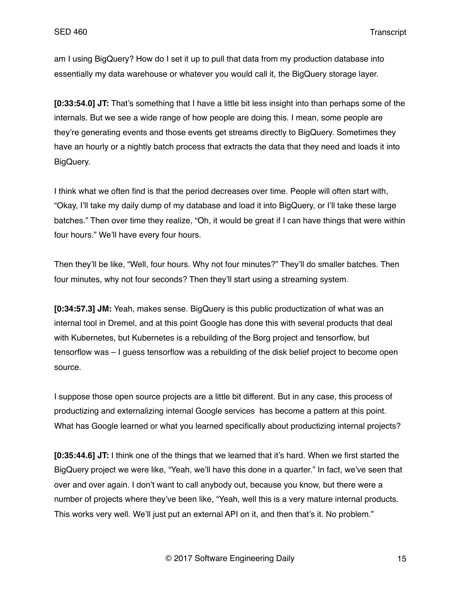am I using BigQuery? How do I set it up to pull that data from my production database into essentially my data warehouse or whatever you would call it, the BigQuery storage layer.

**[0:33:54.0] JT:** That's something that I have a little bit less insight into than perhaps some of the internals. But we see a wide range of how people are doing this. I mean, some people are they're generating events and those events get streams directly to BigQuery. Sometimes they have an hourly or a nightly batch process that extracts the data that they need and loads it into BigQuery.

I think what we often find is that the period decreases over time. People will often start with, "Okay, I'll take my daily dump of my database and load it into BigQuery, or I'll take these large batches." Then over time they realize, "Oh, it would be great if I can have things that were within four hours." We'll have every four hours.

Then they'll be like, "Well, four hours. Why not four minutes?" They'll do smaller batches. Then four minutes, why not four seconds? Then they'll start using a streaming system.

**[0:34:57.3] JM:** Yeah, makes sense. BigQuery is this public productization of what was an internal tool in Dremel, and at this point Google has done this with several products that deal with Kubernetes, but Kubernetes is a rebuilding of the Borg project and tensorflow, but tensorflow was – I guess tensorflow was a rebuilding of the disk belief project to become open source.

I suppose those open source projects are a little bit different. But in any case, this process of productizing and externalizing internal Google services has become a pattern at this point. What has Google learned or what you learned specifically about productizing internal projects?

**[0:35:44.6] JT:** I think one of the things that we learned that it's hard. When we first started the BigQuery project we were like, "Yeah, we'll have this done in a quarter." In fact, we've seen that over and over again. I don't want to call anybody out, because you know, but there were a number of projects where they've been like, "Yeah, well this is a very mature internal products. This works very well. We'll just put an external API on it, and then that's it. No problem."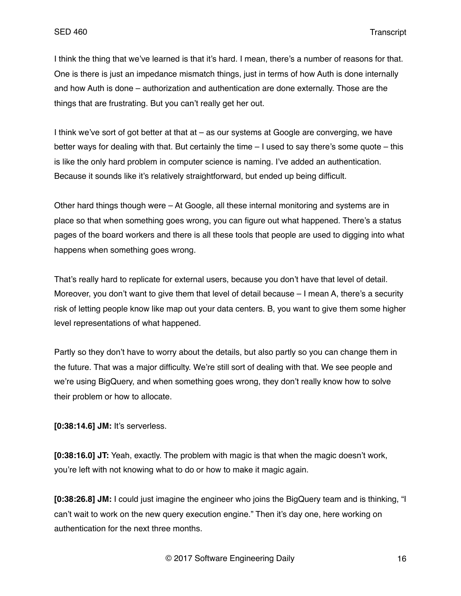I think the thing that we've learned is that it's hard. I mean, there's a number of reasons for that. One is there is just an impedance mismatch things, just in terms of how Auth is done internally and how Auth is done – authorization and authentication are done externally. Those are the things that are frustrating. But you can't really get her out.

I think we've sort of got better at that at – as our systems at Google are converging, we have better ways for dealing with that. But certainly the time – I used to say there's some quote – this is like the only hard problem in computer science is naming. I've added an authentication. Because it sounds like it's relatively straightforward, but ended up being difficult.

Other hard things though were – At Google, all these internal monitoring and systems are in place so that when something goes wrong, you can figure out what happened. There's a status pages of the board workers and there is all these tools that people are used to digging into what happens when something goes wrong.

That's really hard to replicate for external users, because you don't have that level of detail. Moreover, you don't want to give them that level of detail because – I mean A, there's a security risk of letting people know like map out your data centers. B, you want to give them some higher level representations of what happened.

Partly so they don't have to worry about the details, but also partly so you can change them in the future. That was a major difficulty. We're still sort of dealing with that. We see people and we're using BigQuery, and when something goes wrong, they don't really know how to solve their problem or how to allocate.

**[0:38:14.6] JM:** It's serverless.

**[0:38:16.0] JT:** Yeah, exactly. The problem with magic is that when the magic doesn't work, you're left with not knowing what to do or how to make it magic again.

**[0:38:26.8] JM:** I could just imagine the engineer who joins the BigQuery team and is thinking, "I can't wait to work on the new query execution engine." Then it's day one, here working on authentication for the next three months.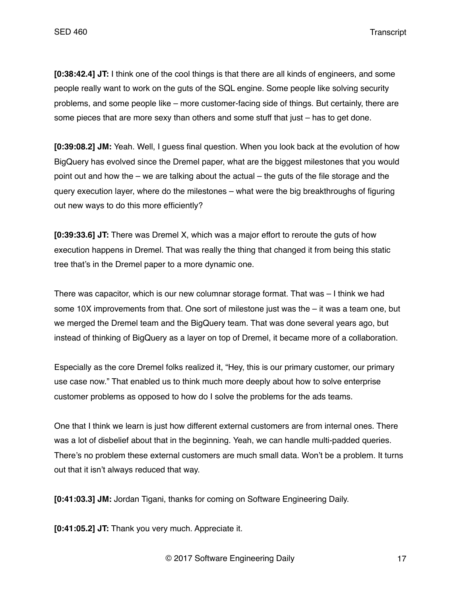SED 460 Transcript

**[0:38:42.4] JT:** I think one of the cool things is that there are all kinds of engineers, and some people really want to work on the guts of the SQL engine. Some people like solving security problems, and some people like – more customer-facing side of things. But certainly, there are some pieces that are more sexy than others and some stuff that just – has to get done.

**[0:39:08.2] JM:** Yeah. Well, I guess final question. When you look back at the evolution of how BigQuery has evolved since the Dremel paper, what are the biggest milestones that you would point out and how the – we are talking about the actual – the guts of the file storage and the query execution layer, where do the milestones – what were the big breakthroughs of figuring out new ways to do this more efficiently?

**[0:39:33.6] JT:** There was Dremel X, which was a major effort to reroute the guts of how execution happens in Dremel. That was really the thing that changed it from being this static tree that's in the Dremel paper to a more dynamic one.

There was capacitor, which is our new columnar storage format. That was – I think we had some 10X improvements from that. One sort of milestone just was the – it was a team one, but we merged the Dremel team and the BigQuery team. That was done several years ago, but instead of thinking of BigQuery as a layer on top of Dremel, it became more of a collaboration.

Especially as the core Dremel folks realized it, "Hey, this is our primary customer, our primary use case now." That enabled us to think much more deeply about how to solve enterprise customer problems as opposed to how do I solve the problems for the ads teams.

One that I think we learn is just how different external customers are from internal ones. There was a lot of disbelief about that in the beginning. Yeah, we can handle multi-padded queries. There's no problem these external customers are much small data. Won't be a problem. It turns out that it isn't always reduced that way.

**[0:41:03.3] JM:** Jordan Tigani, thanks for coming on Software Engineering Daily.

**[0:41:05.2] JT:** Thank you very much. Appreciate it.